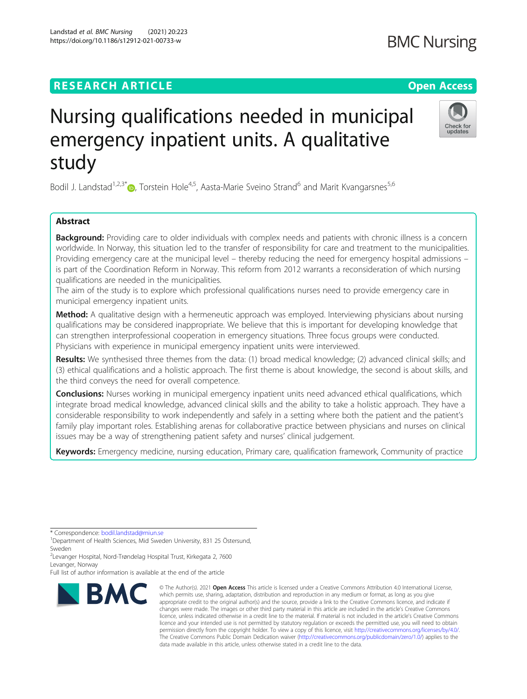## **RESEARCH ARTICLE Example 2014 12:30 The Contract of Contract ACCESS**

# Nursing qualifications needed in municipal emergency inpatient units. A qualitative study

Bodil J. Landstad<sup>1[,](http://orcid.org/0000-0001-6558-3129)2,3\*</sup> $\bullet$ , Torstein Hole<sup>4,5</sup>, Aasta-Marie Sveino Strand<sup>6</sup> and Marit Kvangarsnes<sup>5,6</sup>

### Abstract

Background: Providing care to older individuals with complex needs and patients with chronic illness is a concern worldwide. In Norway, this situation led to the transfer of responsibility for care and treatment to the municipalities. Providing emergency care at the municipal level – thereby reducing the need for emergency hospital admissions – is part of the Coordination Reform in Norway. This reform from 2012 warrants a reconsideration of which nursing qualifications are needed in the municipalities.

The aim of the study is to explore which professional qualifications nurses need to provide emergency care in municipal emergency inpatient units.

Method: A qualitative design with a hermeneutic approach was employed. Interviewing physicians about nursing qualifications may be considered inappropriate. We believe that this is important for developing knowledge that can strengthen interprofessional cooperation in emergency situations. Three focus groups were conducted. Physicians with experience in municipal emergency inpatient units were interviewed.

Results: We synthesised three themes from the data: (1) broad medical knowledge; (2) advanced clinical skills; and (3) ethical qualifications and a holistic approach. The first theme is about knowledge, the second is about skills, and the third conveys the need for overall competence.

**Conclusions:** Nurses working in municipal emergency inpatient units need advanced ethical qualifications, which integrate broad medical knowledge, advanced clinical skills and the ability to take a holistic approach. They have a considerable responsibility to work independently and safely in a setting where both the patient and the patient's family play important roles. Establishing arenas for collaborative practice between physicians and nurses on clinical issues may be a way of strengthening patient safety and nurses' clinical judgement.

Keywords: Emergency medicine, nursing education, Primary care, qualification framework, Community of practice

\* Correspondence: [bodil.landstad@miun.se](mailto:bodil.landstad@miun.se) <sup>1</sup>

<sup>1</sup>Department of Health Sciences, Mid Sweden University, 831 25 Östersund, Sweden

<sup>2</sup>Levanger Hospital, Nord-Trøndelag Hospital Trust, Kirkegata 2, 7600 Levanger, Norway

Full list of author information is available at the end of the article



<sup>©</sup> The Author(s), 2021 **Open Access** This article is licensed under a Creative Commons Attribution 4.0 International License, which permits use, sharing, adaptation, distribution and reproduction in any medium or format, as long as you give appropriate credit to the original author(s) and the source, provide a link to the Creative Commons licence, and indicate if changes were made. The images or other third party material in this article are included in the article's Creative Commons licence, unless indicated otherwise in a credit line to the material. If material is not included in the article's Creative Commons licence and your intended use is not permitted by statutory regulation or exceeds the permitted use, you will need to obtain permission directly from the copyright holder. To view a copy of this licence, visit [http://creativecommons.org/licenses/by/4.0/.](http://creativecommons.org/licenses/by/4.0/) The Creative Commons Public Domain Dedication waiver [\(http://creativecommons.org/publicdomain/zero/1.0/](http://creativecommons.org/publicdomain/zero/1.0/)) applies to the data made available in this article, unless otherwise stated in a credit line to the data.



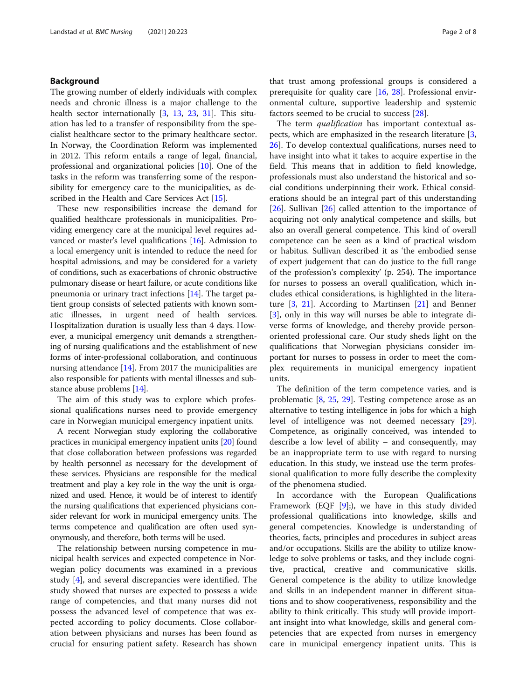#### Background

The growing number of elderly individuals with complex needs and chronic illness is a major challenge to the health sector internationally [\[3](#page-7-0), [13](#page-7-0), [23](#page-7-0), [31\]](#page-7-0). This situation has led to a transfer of responsibility from the specialist healthcare sector to the primary healthcare sector. In Norway, the Coordination Reform was implemented in 2012. This reform entails a range of legal, financial, professional and organizational policies [\[10](#page-7-0)]. One of the tasks in the reform was transferring some of the responsibility for emergency care to the municipalities, as de-scribed in the Health and Care Services Act [\[15\]](#page-7-0).

These new responsibilities increase the demand for qualified healthcare professionals in municipalities. Providing emergency care at the municipal level requires advanced or master's level qualifications [[16](#page-7-0)]. Admission to a local emergency unit is intended to reduce the need for hospital admissions, and may be considered for a variety of conditions, such as exacerbations of chronic obstructive pulmonary disease or heart failure, or acute conditions like pneumonia or urinary tract infections [[14](#page-7-0)]. The target patient group consists of selected patients with known somatic illnesses, in urgent need of health services. Hospitalization duration is usually less than 4 days. However, a municipal emergency unit demands a strengthening of nursing qualifications and the establishment of new forms of inter-professional collaboration, and continuous nursing attendance [\[14\]](#page-7-0). From 2017 the municipalities are also responsible for patients with mental illnesses and substance abuse problems [[14](#page-7-0)].

The aim of this study was to explore which professional qualifications nurses need to provide emergency care in Norwegian municipal emergency inpatient units.

A recent Norwegian study exploring the collaborative practices in municipal emergency inpatient units [\[20\]](#page-7-0) found that close collaboration between professions was regarded by health personnel as necessary for the development of these services. Physicians are responsible for the medical treatment and play a key role in the way the unit is organized and used. Hence, it would be of interest to identify the nursing qualifications that experienced physicians consider relevant for work in municipal emergency units. The terms competence and qualification are often used synonymously, and therefore, both terms will be used.

The relationship between nursing competence in municipal health services and expected competence in Norwegian policy documents was examined in a previous study [\[4](#page-7-0)], and several discrepancies were identified. The study showed that nurses are expected to possess a wide range of competencies, and that many nurses did not possess the advanced level of competence that was expected according to policy documents. Close collaboration between physicians and nurses has been found as crucial for ensuring patient safety. Research has shown

that trust among professional groups is considered a prerequisite for quality care [\[16,](#page-7-0) [28\]](#page-7-0). Professional environmental culture, supportive leadership and systemic factors seemed to be crucial to success [\[28](#page-7-0)].

The term *qualification* has important contextual aspects, which are emphasized in the research literature [\[3](#page-7-0), [26\]](#page-7-0). To develop contextual qualifications, nurses need to have insight into what it takes to acquire expertise in the field. This means that in addition to field knowledge, professionals must also understand the historical and social conditions underpinning their work. Ethical considerations should be an integral part of this understanding [[26\]](#page-7-0). Sullivan [\[26](#page-7-0)] called attention to the importance of acquiring not only analytical competence and skills, but also an overall general competence. This kind of overall competence can be seen as a kind of practical wisdom or habitus. Sullivan described it as 'the embodied sense of expert judgement that can do justice to the full range of the profession's complexity' (p. 254). The importance for nurses to possess an overall qualification, which includes ethical considerations, is highlighted in the literature  $[3, 21]$  $[3, 21]$  $[3, 21]$  $[3, 21]$ . According to Martinsen  $[21]$  and Benner [[3\]](#page-7-0), only in this way will nurses be able to integrate diverse forms of knowledge, and thereby provide personoriented professional care. Our study sheds light on the qualifications that Norwegian physicians consider important for nurses to possess in order to meet the complex requirements in municipal emergency inpatient units.

The definition of the term competence varies, and is problematic [\[8](#page-7-0), [25,](#page-7-0) [29](#page-7-0)]. Testing competence arose as an alternative to testing intelligence in jobs for which a high level of intelligence was not deemed necessary [\[29](#page-7-0)]. Competence, as originally conceived, was intended to describe a low level of ability – and consequently, may be an inappropriate term to use with regard to nursing education. In this study, we instead use the term professional qualification to more fully describe the complexity of the phenomena studied.

In accordance with the European Qualifications Framework (EQF [\[9](#page-7-0)];), we have in this study divided professional qualifications into knowledge, skills and general competencies. Knowledge is understanding of theories, facts, principles and procedures in subject areas and/or occupations. Skills are the ability to utilize knowledge to solve problems or tasks, and they include cognitive, practical, creative and communicative skills. General competence is the ability to utilize knowledge and skills in an independent manner in different situations and to show cooperativeness, responsibility and the ability to think critically. This study will provide important insight into what knowledge, skills and general competencies that are expected from nurses in emergency care in municipal emergency inpatient units. This is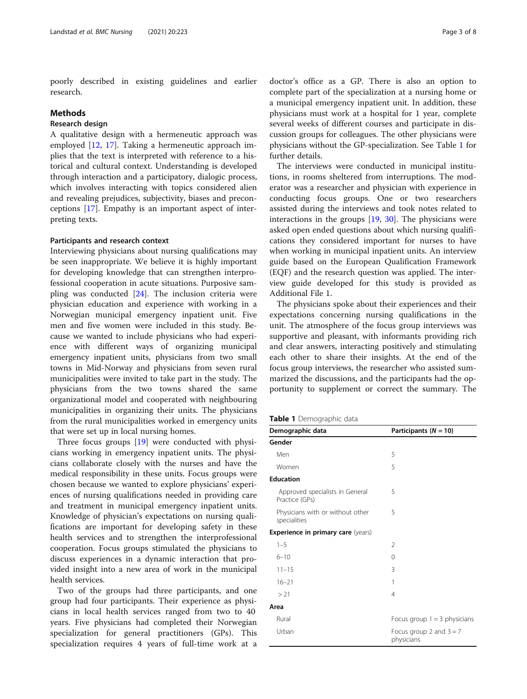poorly described in existing guidelines and earlier research.

#### **Methods**

#### Research design

A qualitative design with a hermeneutic approach was employed [\[12](#page-7-0), [17](#page-7-0)]. Taking a hermeneutic approach implies that the text is interpreted with reference to a historical and cultural context. Understanding is developed through interaction and a participatory, dialogic process, which involves interacting with topics considered alien and revealing prejudices, subjectivity, biases and preconceptions [[17\]](#page-7-0). Empathy is an important aspect of interpreting texts.

#### Participants and research context

Interviewing physicians about nursing qualifications may be seen inappropriate. We believe it is highly important for developing knowledge that can strengthen interprofessional cooperation in acute situations. Purposive sampling was conducted [\[24](#page-7-0)]. The inclusion criteria were physician education and experience with working in a Norwegian municipal emergency inpatient unit. Five men and five women were included in this study. Because we wanted to include physicians who had experience with different ways of organizing municipal emergency inpatient units, physicians from two small towns in Mid-Norway and physicians from seven rural municipalities were invited to take part in the study. The physicians from the two towns shared the same organizational model and cooperated with neighbouring municipalities in organizing their units. The physicians from the rural municipalities worked in emergency units that were set up in local nursing homes.

Three focus groups [[19\]](#page-7-0) were conducted with physicians working in emergency inpatient units. The physicians collaborate closely with the nurses and have the medical responsibility in these units. Focus groups were chosen because we wanted to explore physicians' experiences of nursing qualifications needed in providing care and treatment in municipal emergency inpatient units. Knowledge of physician's expectations on nursing qualifications are important for developing safety in these health services and to strengthen the interprofessional cooperation. Focus groups stimulated the physicians to discuss experiences in a dynamic interaction that provided insight into a new area of work in the municipal health services.

Two of the groups had three participants, and one group had four participants. Their experience as physicians in local health services ranged from two to 40 years. Five physicians had completed their Norwegian specialization for general practitioners (GPs). This specialization requires 4 years of full-time work at a

doctor's office as a GP. There is also an option to complete part of the specialization at a nursing home or a municipal emergency inpatient unit. In addition, these physicians must work at a hospital for 1 year, complete several weeks of different courses and participate in discussion groups for colleagues. The other physicians were physicians without the GP-specialization. See Table 1 for further details.

The interviews were conducted in municipal institutions, in rooms sheltered from interruptions. The moderator was a researcher and physician with experience in conducting focus groups. One or two researchers assisted during the interviews and took notes related to interactions in the groups [\[19](#page-7-0), [30\]](#page-7-0). The physicians were asked open ended questions about which nursing qualifications they considered important for nurses to have when working in municipal inpatient units. An interview guide based on the European Qualification Framework (EQF) and the research question was applied. The interview guide developed for this study is provided as Additional File 1.

The physicians spoke about their experiences and their expectations concerning nursing qualifications in the unit. The atmosphere of the focus group interviews was supportive and pleasant, with informants providing rich and clear answers, interacting positively and stimulating each other to share their insights. At the end of the focus group interviews, the researcher who assisted summarized the discussions, and the participants had the opportunity to supplement or correct the summary. The

|  |  | Table 1 Demographic data |  |
|--|--|--------------------------|--|
|--|--|--------------------------|--|

| Demographic data                                  | Participants ( $N = 10$ )               |  |
|---------------------------------------------------|-----------------------------------------|--|
| Gender                                            |                                         |  |
| Men                                               | 5                                       |  |
| Women                                             | 5                                       |  |
| <b>Education</b>                                  |                                         |  |
| Approved specialists in General<br>Practice (GPs) | 5                                       |  |
| Physicians with or without other<br>specialities  | 5                                       |  |
| <b>Experience in primary care (years)</b>         |                                         |  |
| $1 - 5$                                           | 2                                       |  |
| $6 - 10$                                          | $\Omega$                                |  |
| $11 - 15$                                         | 3                                       |  |
| $16 - 21$                                         | 1                                       |  |
| > 21                                              | $\overline{4}$                          |  |
| Area                                              |                                         |  |
| Rural                                             | Focus group $1 = 3$ physicians          |  |
| Urban                                             | Focus group 2 and $3 = 7$<br>physicians |  |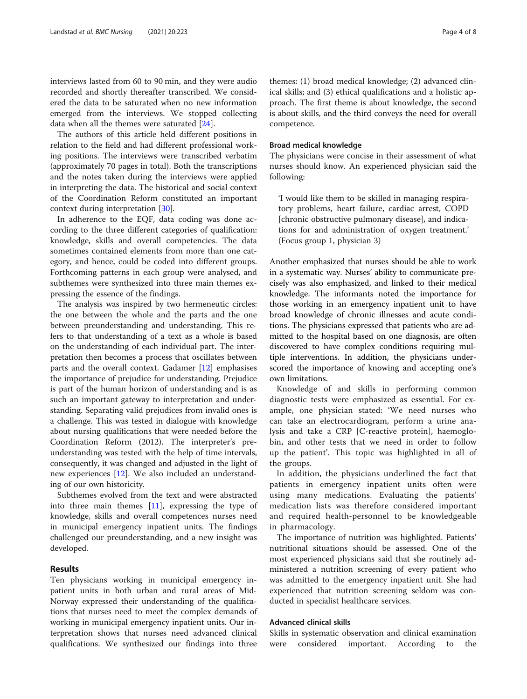interviews lasted from 60 to 90 min, and they were audio recorded and shortly thereafter transcribed. We considered the data to be saturated when no new information emerged from the interviews. We stopped collecting data when all the themes were saturated [\[24\]](#page-7-0).

The authors of this article held different positions in relation to the field and had different professional working positions. The interviews were transcribed verbatim (approximately 70 pages in total). Both the transcriptions and the notes taken during the interviews were applied in interpreting the data. The historical and social context of the Coordination Reform constituted an important context during interpretation [\[30](#page-7-0)].

In adherence to the EQF, data coding was done according to the three different categories of qualification: knowledge, skills and overall competencies. The data sometimes contained elements from more than one category, and hence, could be coded into different groups. Forthcoming patterns in each group were analysed, and subthemes were synthesized into three main themes expressing the essence of the findings.

The analysis was inspired by two hermeneutic circles: the one between the whole and the parts and the one between preunderstanding and understanding. This refers to that understanding of a text as a whole is based on the understanding of each individual part. The interpretation then becomes a process that oscillates between parts and the overall context. Gadamer [[12\]](#page-7-0) emphasises the importance of prejudice for understanding. Prejudice is part of the human horizon of understanding and is as such an important gateway to interpretation and understanding. Separating valid prejudices from invalid ones is a challenge. This was tested in dialogue with knowledge about nursing qualifications that were needed before the Coordination Reform (2012). The interpreter's preunderstanding was tested with the help of time intervals, consequently, it was changed and adjusted in the light of new experiences [[12](#page-7-0)]. We also included an understanding of our own historicity.

Subthemes evolved from the text and were abstracted into three main themes [[11\]](#page-7-0), expressing the type of knowledge, skills and overall competences nurses need in municipal emergency inpatient units. The findings challenged our preunderstanding, and a new insight was developed.

#### Results

Ten physicians working in municipal emergency inpatient units in both urban and rural areas of Mid-Norway expressed their understanding of the qualifications that nurses need to meet the complex demands of working in municipal emergency inpatient units. Our interpretation shows that nurses need advanced clinical qualifications. We synthesized our findings into three

themes: (1) broad medical knowledge; (2) advanced clinical skills; and (3) ethical qualifications and a holistic approach. The first theme is about knowledge, the second is about skills, and the third conveys the need for overall competence.

#### Broad medical knowledge

The physicians were concise in their assessment of what nurses should know. An experienced physician said the following:

'I would like them to be skilled in managing respiratory problems, heart failure, cardiac arrest, COPD [chronic obstructive pulmonary disease], and indications for and administration of oxygen treatment.' (Focus group 1, physician 3)

Another emphasized that nurses should be able to work in a systematic way. Nurses' ability to communicate precisely was also emphasized, and linked to their medical knowledge. The informants noted the importance for those working in an emergency inpatient unit to have broad knowledge of chronic illnesses and acute conditions. The physicians expressed that patients who are admitted to the hospital based on one diagnosis, are often discovered to have complex conditions requiring multiple interventions. In addition, the physicians underscored the importance of knowing and accepting one's own limitations.

Knowledge of and skills in performing common diagnostic tests were emphasized as essential. For example, one physician stated: 'We need nurses who can take an electrocardiogram, perform a urine analysis and take a CRP [C-reactive protein], haemoglobin, and other tests that we need in order to follow up the patient'. This topic was highlighted in all of the groups.

In addition, the physicians underlined the fact that patients in emergency inpatient units often were using many medications. Evaluating the patients' medication lists was therefore considered important and required health-personnel to be knowledgeable in pharmacology.

The importance of nutrition was highlighted. Patients' nutritional situations should be assessed. One of the most experienced physicians said that she routinely administered a nutrition screening of every patient who was admitted to the emergency inpatient unit. She had experienced that nutrition screening seldom was conducted in specialist healthcare services.

#### Advanced clinical skills

Skills in systematic observation and clinical examination were considered important. According to the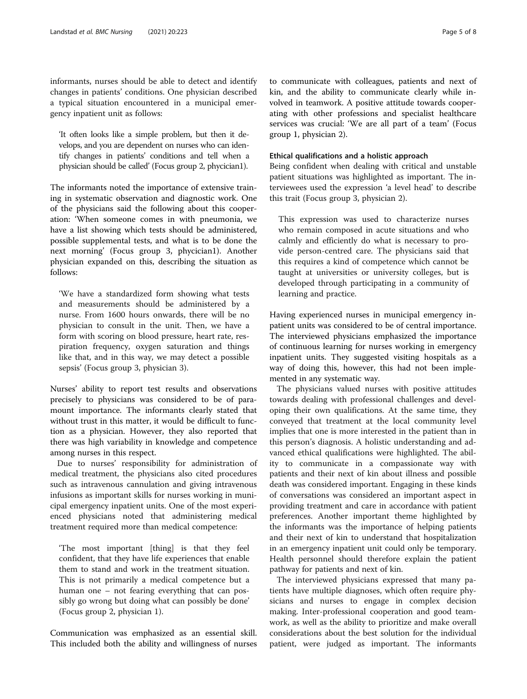informants, nurses should be able to detect and identify changes in patients' conditions. One physician described a typical situation encountered in a municipal emergency inpatient unit as follows:

'It often looks like a simple problem, but then it develops, and you are dependent on nurses who can identify changes in patients' conditions and tell when a physician should be called' (Focus group 2, phycician1).

The informants noted the importance of extensive training in systematic observation and diagnostic work. One of the physicians said the following about this cooperation: 'When someone comes in with pneumonia, we have a list showing which tests should be administered, possible supplemental tests, and what is to be done the next morning' (Focus group 3, phycician1). Another physician expanded on this, describing the situation as follows:

'We have a standardized form showing what tests and measurements should be administered by a nurse. From 1600 hours onwards, there will be no physician to consult in the unit. Then, we have a form with scoring on blood pressure, heart rate, respiration frequency, oxygen saturation and things like that, and in this way, we may detect a possible sepsis' (Focus group 3, physician 3).

Nurses' ability to report test results and observations precisely to physicians was considered to be of paramount importance. The informants clearly stated that without trust in this matter, it would be difficult to function as a physician. However, they also reported that there was high variability in knowledge and competence among nurses in this respect.

Due to nurses' responsibility for administration of medical treatment, the physicians also cited procedures such as intravenous cannulation and giving intravenous infusions as important skills for nurses working in municipal emergency inpatient units. One of the most experienced physicians noted that administering medical treatment required more than medical competence:

'The most important [thing] is that they feel confident, that they have life experiences that enable them to stand and work in the treatment situation. This is not primarily a medical competence but a human one – not fearing everything that can possibly go wrong but doing what can possibly be done' (Focus group 2, physician 1).

Communication was emphasized as an essential skill. This included both the ability and willingness of nurses to communicate with colleagues, patients and next of kin, and the ability to communicate clearly while involved in teamwork. A positive attitude towards cooperating with other professions and specialist healthcare services was crucial: 'We are all part of a team' (Focus group 1, physician 2).

#### Ethical qualifications and a holistic approach

Being confident when dealing with critical and unstable patient situations was highlighted as important. The interviewees used the expression 'a level head' to describe this trait (Focus group 3, physician 2).

This expression was used to characterize nurses who remain composed in acute situations and who calmly and efficiently do what is necessary to provide person-centred care. The physicians said that this requires a kind of competence which cannot be taught at universities or university colleges, but is developed through participating in a community of learning and practice.

Having experienced nurses in municipal emergency inpatient units was considered to be of central importance. The interviewed physicians emphasized the importance of continuous learning for nurses working in emergency inpatient units. They suggested visiting hospitals as a way of doing this, however, this had not been implemented in any systematic way.

The physicians valued nurses with positive attitudes towards dealing with professional challenges and developing their own qualifications. At the same time, they conveyed that treatment at the local community level implies that one is more interested in the patient than in this person's diagnosis. A holistic understanding and advanced ethical qualifications were highlighted. The ability to communicate in a compassionate way with patients and their next of kin about illness and possible death was considered important. Engaging in these kinds of conversations was considered an important aspect in providing treatment and care in accordance with patient preferences. Another important theme highlighted by the informants was the importance of helping patients and their next of kin to understand that hospitalization in an emergency inpatient unit could only be temporary. Health personnel should therefore explain the patient pathway for patients and next of kin.

The interviewed physicians expressed that many patients have multiple diagnoses, which often require physicians and nurses to engage in complex decision making. Inter-professional cooperation and good teamwork, as well as the ability to prioritize and make overall considerations about the best solution for the individual patient, were judged as important. The informants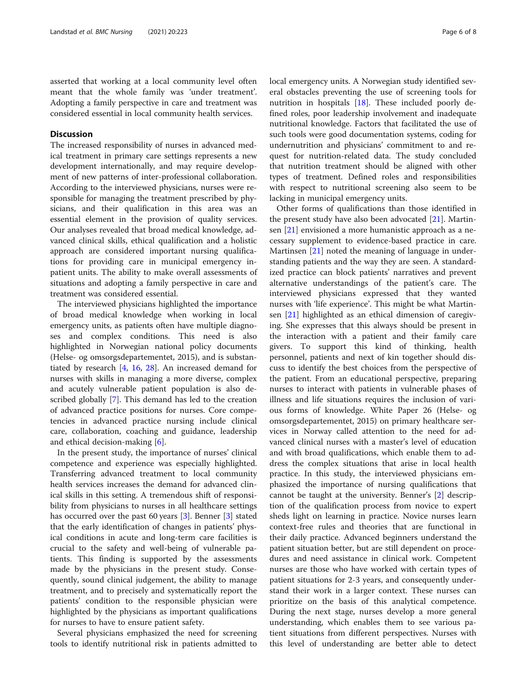asserted that working at a local community level often meant that the whole family was 'under treatment'. Adopting a family perspective in care and treatment was considered essential in local community health services.

#### **Discussion**

The increased responsibility of nurses in advanced medical treatment in primary care settings represents a new development internationally, and may require development of new patterns of inter-professional collaboration. According to the interviewed physicians, nurses were responsible for managing the treatment prescribed by physicians, and their qualification in this area was an essential element in the provision of quality services. Our analyses revealed that broad medical knowledge, advanced clinical skills, ethical qualification and a holistic approach are considered important nursing qualifications for providing care in municipal emergency inpatient units. The ability to make overall assessments of situations and adopting a family perspective in care and treatment was considered essential.

The interviewed physicians highlighted the importance of broad medical knowledge when working in local emergency units, as patients often have multiple diagnoses and complex conditions. This need is also highlighted in Norwegian national policy documents (Helse- og omsorgsdepartementet, 2015), and is substantiated by research [[4,](#page-7-0) [16,](#page-7-0) [28\]](#page-7-0). An increased demand for nurses with skills in managing a more diverse, complex and acutely vulnerable patient population is also described globally [[7\]](#page-7-0). This demand has led to the creation of advanced practice positions for nurses. Core competencies in advanced practice nursing include clinical care, collaboration, coaching and guidance, leadership and ethical decision-making [[6\]](#page-7-0).

In the present study, the importance of nurses' clinical competence and experience was especially highlighted. Transferring advanced treatment to local community health services increases the demand for advanced clinical skills in this setting. A tremendous shift of responsibility from physicians to nurses in all healthcare settings has occurred over the past 60 years [[3\]](#page-7-0). Benner [\[3](#page-7-0)] stated that the early identification of changes in patients' physical conditions in acute and long-term care facilities is crucial to the safety and well-being of vulnerable patients. This finding is supported by the assessments made by the physicians in the present study. Consequently, sound clinical judgement, the ability to manage treatment, and to precisely and systematically report the patients' condition to the responsible physician were highlighted by the physicians as important qualifications for nurses to have to ensure patient safety.

Several physicians emphasized the need for screening tools to identify nutritional risk in patients admitted to local emergency units. A Norwegian study identified several obstacles preventing the use of screening tools for nutrition in hospitals [[18\]](#page-7-0). These included poorly defined roles, poor leadership involvement and inadequate nutritional knowledge. Factors that facilitated the use of such tools were good documentation systems, coding for undernutrition and physicians' commitment to and request for nutrition-related data. The study concluded that nutrition treatment should be aligned with other types of treatment. Defined roles and responsibilities with respect to nutritional screening also seem to be lacking in municipal emergency units.

Other forms of qualifications than those identified in the present study have also been advocated  $[21]$  $[21]$  $[21]$ . Martinsen [\[21](#page-7-0)] envisioned a more humanistic approach as a necessary supplement to evidence-based practice in care. Martinsen [[21\]](#page-7-0) noted the meaning of language in understanding patients and the way they are seen. A standardized practice can block patients' narratives and prevent alternative understandings of the patient's care. The interviewed physicians expressed that they wanted nurses with 'life experience'. This might be what Martinsen [\[21](#page-7-0)] highlighted as an ethical dimension of caregiving. She expresses that this always should be present in the interaction with a patient and their family care givers. To support this kind of thinking, health personnel, patients and next of kin together should discuss to identify the best choices from the perspective of the patient. From an educational perspective, preparing nurses to interact with patients in vulnerable phases of illness and life situations requires the inclusion of various forms of knowledge. White Paper 26 (Helse- og omsorgsdepartementet, 2015) on primary healthcare services in Norway called attention to the need for advanced clinical nurses with a master's level of education and with broad qualifications, which enable them to address the complex situations that arise in local health practice. In this study, the interviewed physicians emphasized the importance of nursing qualifications that cannot be taught at the university. Benner's [\[2\]](#page-7-0) description of the qualification process from novice to expert sheds light on learning in practice. Novice nurses learn context-free rules and theories that are functional in their daily practice. Advanced beginners understand the patient situation better, but are still dependent on procedures and need assistance in clinical work. Competent nurses are those who have worked with certain types of patient situations for 2-3 years, and consequently understand their work in a larger context. These nurses can prioritize on the basis of this analytical competence. During the next stage, nurses develop a more general understanding, which enables them to see various patient situations from different perspectives. Nurses with this level of understanding are better able to detect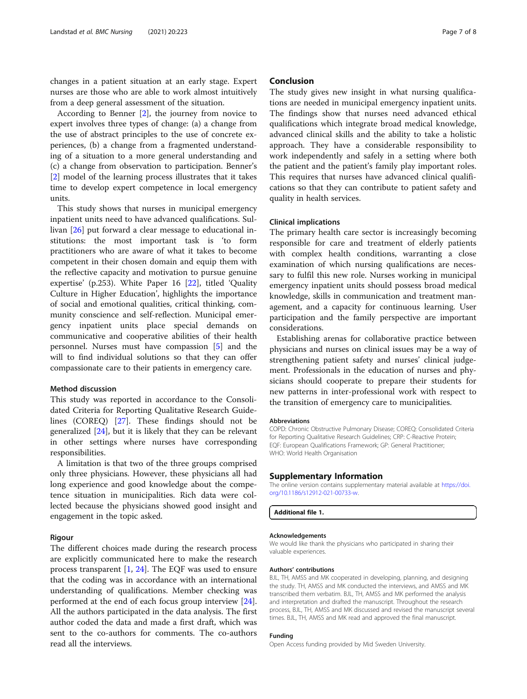changes in a patient situation at an early stage. Expert nurses are those who are able to work almost intuitively from a deep general assessment of the situation.

According to Benner [[2\]](#page-7-0), the journey from novice to expert involves three types of change: (a) a change from the use of abstract principles to the use of concrete experiences, (b) a change from a fragmented understanding of a situation to a more general understanding and (c) a change from observation to participation. Benner's [[2\]](#page-7-0) model of the learning process illustrates that it takes time to develop expert competence in local emergency units.

This study shows that nurses in municipal emergency inpatient units need to have advanced qualifications. Sullivan [\[26](#page-7-0)] put forward a clear message to educational institutions: the most important task is 'to form practitioners who are aware of what it takes to become competent in their chosen domain and equip them with the reflective capacity and motivation to pursue genuine expertise' (p.253). White Paper 16 [\[22](#page-7-0)], titled 'Quality Culture in Higher Education', highlights the importance of social and emotional qualities, critical thinking, community conscience and self-reflection. Municipal emergency inpatient units place special demands on communicative and cooperative abilities of their health personnel. Nurses must have compassion [[5\]](#page-7-0) and the will to find individual solutions so that they can offer compassionate care to their patients in emergency care.

#### Method discussion

This study was reported in accordance to the Consolidated Criteria for Reporting Qualitative Research Guidelines (COREQ) [[27](#page-7-0)]. These findings should not be generalized [\[24\]](#page-7-0), but it is likely that they can be relevant in other settings where nurses have corresponding responsibilities.

A limitation is that two of the three groups comprised only three physicians. However, these physicians all had long experience and good knowledge about the competence situation in municipalities. Rich data were collected because the physicians showed good insight and engagement in the topic asked.

#### Rigour

The different choices made during the research process are explicitly communicated here to make the research process transparent [\[1](#page-7-0), [24](#page-7-0)]. The EQF was used to ensure that the coding was in accordance with an international understanding of qualifications. Member checking was performed at the end of each focus group interview [\[24](#page-7-0)]. All the authors participated in the data analysis. The first author coded the data and made a first draft, which was sent to the co-authors for comments. The co-authors read all the interviews.

#### Conclusion

The study gives new insight in what nursing qualifications are needed in municipal emergency inpatient units. The findings show that nurses need advanced ethical qualifications which integrate broad medical knowledge, advanced clinical skills and the ability to take a holistic approach. They have a considerable responsibility to work independently and safely in a setting where both the patient and the patient's family play important roles. This requires that nurses have advanced clinical qualifications so that they can contribute to patient safety and quality in health services.

#### Clinical implications

The primary health care sector is increasingly becoming responsible for care and treatment of elderly patients with complex health conditions, warranting a close examination of which nursing qualifications are necessary to fulfil this new role. Nurses working in municipal emergency inpatient units should possess broad medical knowledge, skills in communication and treatment management, and a capacity for continuous learning. User participation and the family perspective are important considerations.

Establishing arenas for collaborative practice between physicians and nurses on clinical issues may be a way of strengthening patient safety and nurses' clinical judgement. Professionals in the education of nurses and physicians should cooperate to prepare their students for new patterns in inter-professional work with respect to the transition of emergency care to municipalities.

#### Abbreviations

COPD: Chronic Obstructive Pulmonary Disease; COREQ: Consolidated Criteria for Reporting Qualitative Research Guidelines; CRP: C-Reactive Protein; EQF: European Qualifications Framework; GP: General Practitioner; WHO: World Health Organisation

#### Supplementary Information

The online version contains supplementary material available at [https://doi.](https://doi.org/10.1186/s12912-021-00733-w) [org/10.1186/s12912-021-00733-w](https://doi.org/10.1186/s12912-021-00733-w).

Additional file 1.

#### Acknowledgements

We would like thank the physicians who participated in sharing their valuable experiences.

#### Authors' contributions

BJL, TH, AMSS and MK cooperated in developing, planning, and designing the study. TH, AMSS and MK conducted the interviews, and AMSS and MK transcribed them verbatim. BJL, TH, AMSS and MK performed the analysis and interpretation and drafted the manuscript. Throughout the research process, BJL, TH, AMSS and MK discussed and revised the manuscript several times. BJL, TH, AMSS and MK read and approved the final manuscript.

#### Funding

Open Access funding provided by Mid Sweden University.